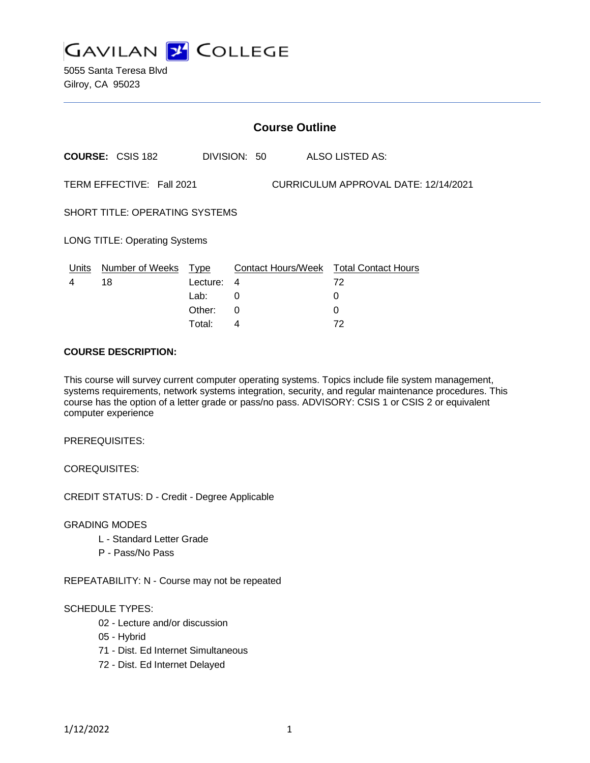

5055 Santa Teresa Blvd Gilroy, CA 95023

|                                       | <b>Course Outline</b>      |                |              |                                      |                                              |  |  |
|---------------------------------------|----------------------------|----------------|--------------|--------------------------------------|----------------------------------------------|--|--|
|                                       | <b>COURSE: CSIS 182</b>    |                | DIVISION: 50 |                                      | ALSO LISTED AS:                              |  |  |
| TERM EFFECTIVE: Fall 2021             |                            |                |              | CURRICULUM APPROVAL DATE: 12/14/2021 |                                              |  |  |
| <b>SHORT TITLE: OPERATING SYSTEMS</b> |                            |                |              |                                      |                                              |  |  |
| <b>LONG TITLE: Operating Systems</b>  |                            |                |              |                                      |                                              |  |  |
| <u>Units</u><br>4                     | Number of Weeks Type<br>18 | Lecture:       | 4            |                                      | Contact Hours/Week Total Contact Hours<br>72 |  |  |
|                                       |                            | Lab:<br>Other: | 0<br>0       |                                      | 0<br>0                                       |  |  |

Total: 4 72

#### **COURSE DESCRIPTION:**

This course will survey current computer operating systems. Topics include file system management, systems requirements, network systems integration, security, and regular maintenance procedures. This course has the option of a letter grade or pass/no pass. ADVISORY: CSIS 1 or CSIS 2 or equivalent computer experience

PREREQUISITES:

COREQUISITES:

CREDIT STATUS: D - Credit - Degree Applicable

GRADING MODES

- L Standard Letter Grade
- P Pass/No Pass

REPEATABILITY: N - Course may not be repeated

#### SCHEDULE TYPES:

- 02 Lecture and/or discussion
- 05 Hybrid
- 71 Dist. Ed Internet Simultaneous
- 72 Dist. Ed Internet Delayed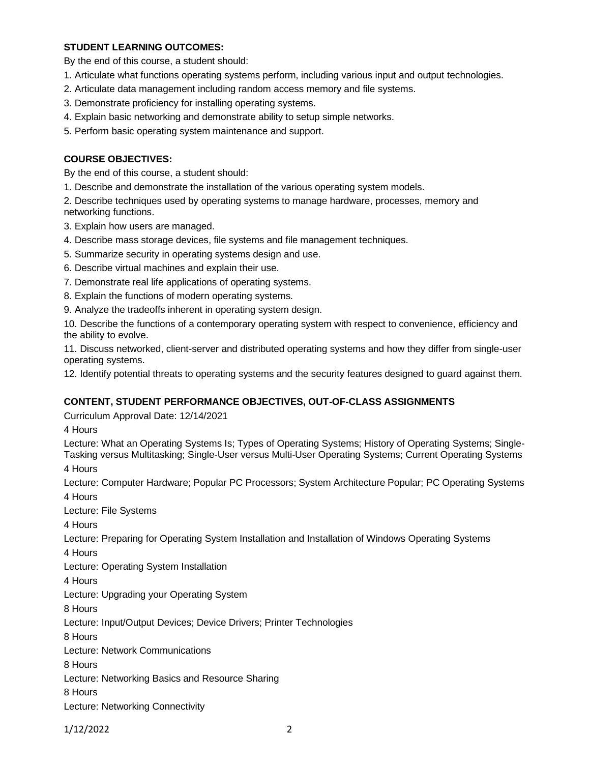# **STUDENT LEARNING OUTCOMES:**

By the end of this course, a student should:

- 1. Articulate what functions operating systems perform, including various input and output technologies.
- 2. Articulate data management including random access memory and file systems.
- 3. Demonstrate proficiency for installing operating systems.
- 4. Explain basic networking and demonstrate ability to setup simple networks.
- 5. Perform basic operating system maintenance and support.

## **COURSE OBJECTIVES:**

By the end of this course, a student should:

1. Describe and demonstrate the installation of the various operating system models.

2. Describe techniques used by operating systems to manage hardware, processes, memory and networking functions.

- 3. Explain how users are managed.
- 4. Describe mass storage devices, file systems and file management techniques.
- 5. Summarize security in operating systems design and use.
- 6. Describe virtual machines and explain their use.
- 7. Demonstrate real life applications of operating systems.
- 8. Explain the functions of modern operating systems.
- 9. Analyze the tradeoffs inherent in operating system design.

10. Describe the functions of a contemporary operating system with respect to convenience, efficiency and the ability to evolve.

11. Discuss networked, client-server and distributed operating systems and how they differ from single-user operating systems.

12. Identify potential threats to operating systems and the security features designed to guard against them.

## **CONTENT, STUDENT PERFORMANCE OBJECTIVES, OUT-OF-CLASS ASSIGNMENTS**

Curriculum Approval Date: 12/14/2021

4 Hours

Lecture: What an Operating Systems Is; Types of Operating Systems; History of Operating Systems; Single-Tasking versus Multitasking; Single-User versus Multi-User Operating Systems; Current Operating Systems

4 Hours

Lecture: Computer Hardware; Popular PC Processors; System Architecture Popular; PC Operating Systems 4 Hours

Lecture: File Systems

4 Hours

Lecture: Preparing for Operating System Installation and Installation of Windows Operating Systems

4 Hours

Lecture: Operating System Installation

4 Hours

Lecture: Upgrading your Operating System

8 Hours

Lecture: Input/Output Devices; Device Drivers; Printer Technologies

8 Hours

Lecture: Network Communications

8 Hours

Lecture: Networking Basics and Resource Sharing

8 Hours

Lecture: Networking Connectivity

1/12/2022 2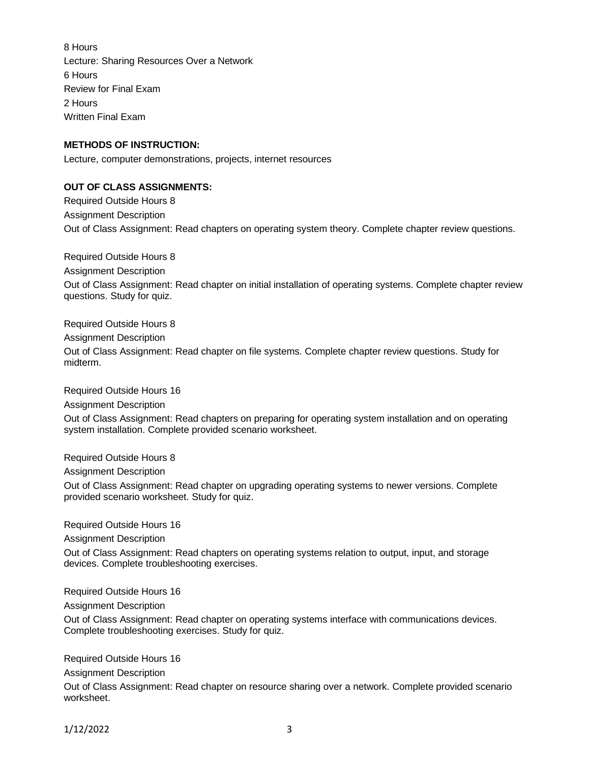8 Hours Lecture: Sharing Resources Over a Network 6 Hours Review for Final Exam 2 Hours Written Final Exam

### **METHODS OF INSTRUCTION:**

Lecture, computer demonstrations, projects, internet resources

#### **OUT OF CLASS ASSIGNMENTS:**

Required Outside Hours 8 Assignment Description Out of Class Assignment: Read chapters on operating system theory. Complete chapter review questions.

Required Outside Hours 8 Assignment Description Out of Class Assignment: Read chapter on initial installation of operating systems. Complete chapter review questions. Study for quiz.

Required Outside Hours 8

Assignment Description

Out of Class Assignment: Read chapter on file systems. Complete chapter review questions. Study for midterm.

Required Outside Hours 16

Assignment Description Out of Class Assignment: Read chapters on preparing for operating system installation and on operating system installation. Complete provided scenario worksheet.

Required Outside Hours 8

Assignment Description

Out of Class Assignment: Read chapter on upgrading operating systems to newer versions. Complete provided scenario worksheet. Study for quiz.

Required Outside Hours 16

Assignment Description

Out of Class Assignment: Read chapters on operating systems relation to output, input, and storage devices. Complete troubleshooting exercises.

Required Outside Hours 16

Assignment Description

Out of Class Assignment: Read chapter on operating systems interface with communications devices. Complete troubleshooting exercises. Study for quiz.

Required Outside Hours 16

Assignment Description

Out of Class Assignment: Read chapter on resource sharing over a network. Complete provided scenario worksheet.

1/12/2022 3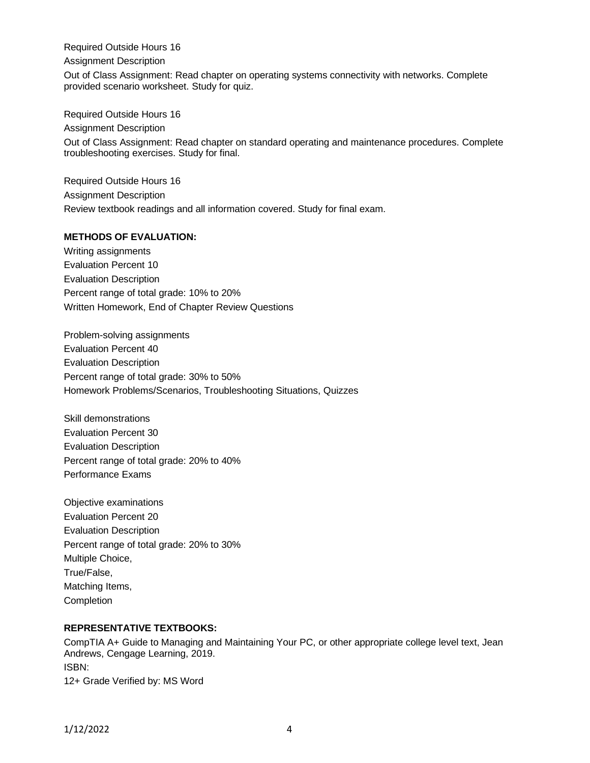Required Outside Hours 16

Assignment Description

Out of Class Assignment: Read chapter on operating systems connectivity with networks. Complete provided scenario worksheet. Study for quiz.

Required Outside Hours 16 Assignment Description Out of Class Assignment: Read chapter on standard operating and maintenance procedures. Complete troubleshooting exercises. Study for final.

Required Outside Hours 16 Assignment Description Review textbook readings and all information covered. Study for final exam.

# **METHODS OF EVALUATION:**

Writing assignments Evaluation Percent 10 Evaluation Description Percent range of total grade: 10% to 20% Written Homework, End of Chapter Review Questions

Problem-solving assignments Evaluation Percent 40 Evaluation Description Percent range of total grade: 30% to 50% Homework Problems/Scenarios, Troubleshooting Situations, Quizzes

Skill demonstrations Evaluation Percent 30 Evaluation Description Percent range of total grade: 20% to 40% Performance Exams

Objective examinations Evaluation Percent 20 Evaluation Description Percent range of total grade: 20% to 30% Multiple Choice, True/False, Matching Items, **Completion** 

# **REPRESENTATIVE TEXTBOOKS:**

CompTIA A+ Guide to Managing and Maintaining Your PC, or other appropriate college level text, Jean Andrews, Cengage Learning, 2019. ISBN: 12+ Grade Verified by: MS Word